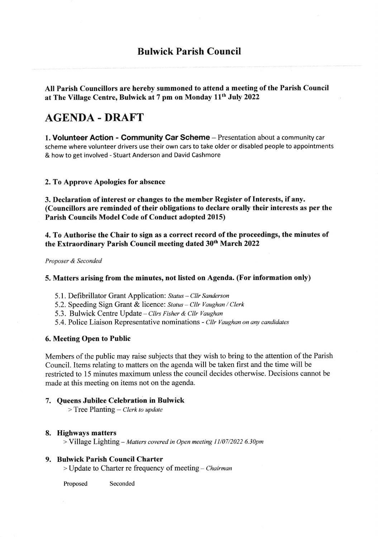# Bulwick Parish Council

AII Parish Councillors are hereby summoned to attend a meeting of the Parish Council at The Village Centre, Bulwick at 7 pm on Monday 11<sup>th</sup> July 2022

# AGENDA-DRAFT

1. Volunteer Action - Community Car Scheme - Presentation about a community car scheme where volunteer drivers use their own cars to take older or disabled people to appointments & how to get involved - Stuart Anderson and David Cashmore

# 2.To Approve Apologies for absence

3. Declaration of interest or changes to the member Register of fnterests, if any. (Councillors are reminded of their obligations to declare orally their interests as per the Parish Councils Model Code of Conduct adopted 2015)

4. To Authorise the Chair to sign as a correct record of the proceedings, the minutes of the Extraordinary Parish Council meeting dated 30<sup>th</sup> March 2022

Proposer & Seconded

# 5. Matters arising from the minutes, not listed on Agenda. (For information only)

- 5.1. Defibrillator Grant Application: Status Cllr Sanderson
- 5.2. Speeding Sign Grant & licence: Status Cllr Vaughan / Clerk
- 5.3. Bulwick Centre Update Cllrs Fisher & Cllr Vaughan
- 5.4. Police Liaison Representative nominations Cllr Vaughan on any candidates

### 6. Meeting Open to Public

Members of the public may raise subjects that they wish to bring to the attention of the Parish Council. Items relating to matters on the agenda will be taken first and the time will be restricted to 15 minutes maximum unless the council decides otherwise. Decisions cannot be made at this meeting on items not on the agenda.

### 7. Queens Jubilee Celebration in Bulwick

 $>$  Tree Planting – Clerk to update

### 8. Highways matters

> Village Lighting - Matters covered in Open meeting 11/07/2022 6.30pm

# 9. Bulwick Parish Council Charter

 $>$  Update to Charter re frequency of meeting – Chairman

Proposed Seconded